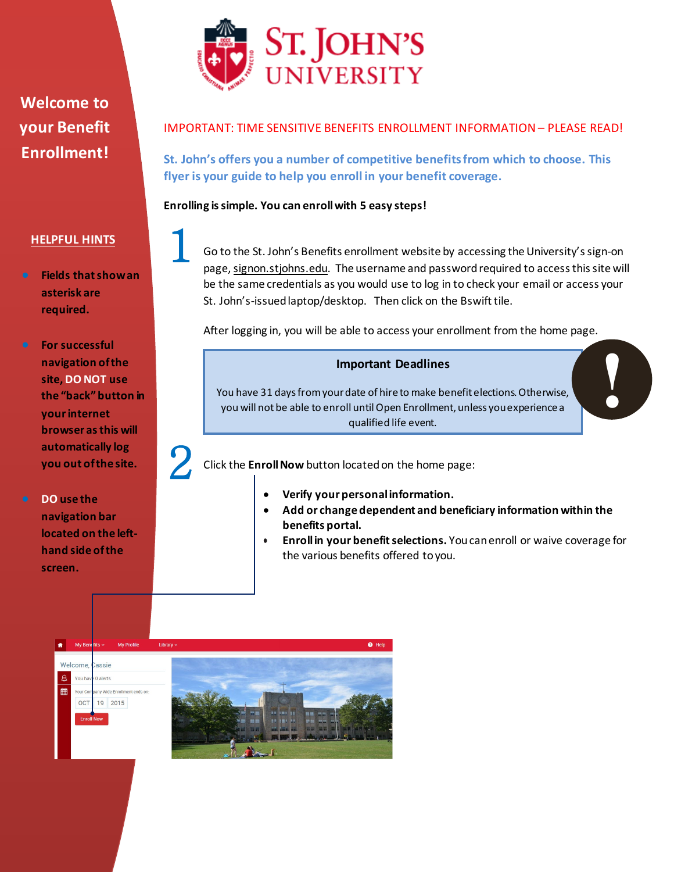

## IMPORTANT: TIME SENSITIVE BENEFITS ENROLLMENT INFORMATION – PLEASE READ!

**St. John's offers you a number of competitive benefitsfrom which to choose. This flyer is your guide to help you enroll in your benefit coverage.** 

**Enrolling is simple. You can enroll with 5 easy steps!** 

## **HELPFUL HINTS**

- **Fields that show an asterisk are required.**
- **For successful navigation of the site, DO NOT use the "back" button in your internet browser as this will automatically log you out of the site.**
- **DO use the navigation bar located on the lefthand side of the screen.**

Go to the St. John's Benefits enrollment website by accessing the University's sign-on page, signon.stjohns.edu. The username and password required to access this site will be the same credentials as you would use to log in to check your email or access your St. John's-issued laptop/desktop. Then click on the Bswift tile. 1

After logging in, you will be able to access your enrollment from the home page.

## **Important Deadlines**

You have 31 days from your date of hire to make benefit elections. Otherwise, you will not be able to enroll until Open Enrollment, unless you experience a qualified life event.

Click the **Enroll Now** button located on the home page:  $2<sub>c</sub>$ 

- **Verify your personal information.**
- **Add or change dependent and beneficiary information within the benefits portal.**
- **Enroll in your benefit selections.** You canenroll or waive coverage for the various benefits offered to you.

**!**



**Welcome to your Benefit Enrollment!**